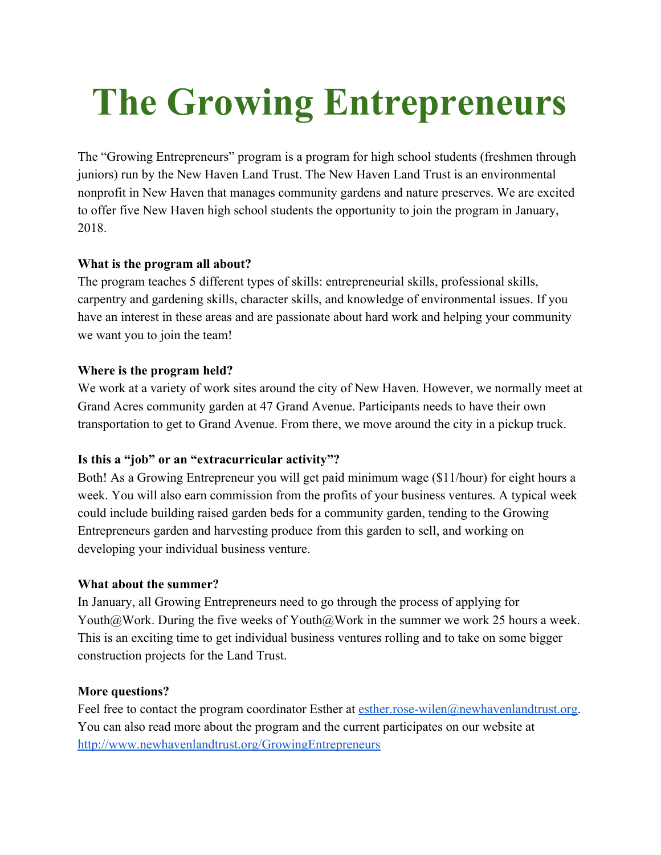# **The Growing Entrepreneurs**

The "Growing Entrepreneurs" program is a program for high school students (freshmen through juniors) run by the New Haven Land Trust. The New Haven Land Trust is an environmental nonprofit in New Haven that manages community gardens and nature preserves. We are excited to offer five New Haven high school students the opportunity to join the program in January, 2018.

## **What is the program all about?**

The program teaches 5 different types of skills: entrepreneurial skills, professional skills, carpentry and gardening skills, character skills, and knowledge of environmental issues. If you have an interest in these areas and are passionate about hard work and helping your community we want you to join the team!

## **Where is the program held?**

We work at a variety of work sites around the city of New Haven. However, we normally meet at Grand Acres community garden at 47 Grand Avenue. Participants needs to have their own transportation to get to Grand Avenue. From there, we move around the city in a pickup truck.

# **Is this a "job" or an "extracurricular activity"?**

Both! As a Growing Entrepreneur you will get paid minimum wage (\$11/hour) for eight hours a week. You will also earn commission from the profits of your business ventures. A typical week could include building raised garden beds for a community garden, tending to the Growing Entrepreneurs garden and harvesting produce from this garden to sell, and working on developing your individual business venture.

### **What about the summer?**

In January, all Growing Entrepreneurs need to go through the process of applying for Youth@Work. During the five weeks of Youth@Work in the summer we work 25 hours a week. This is an exciting time to get individual business ventures rolling and to take on some bigger construction projects for the Land Trust.

### **More questions?**

Feel free to contact the program coordinator Esther at [esther.rose-wilen@newhavenlandtrust.org.](mailto:esther.rose-wilen@newhavenlandtrust.org) You can also read more about the program and the current participates on our website at <http://www.newhavenlandtrust.org/GrowingEntrepreneurs>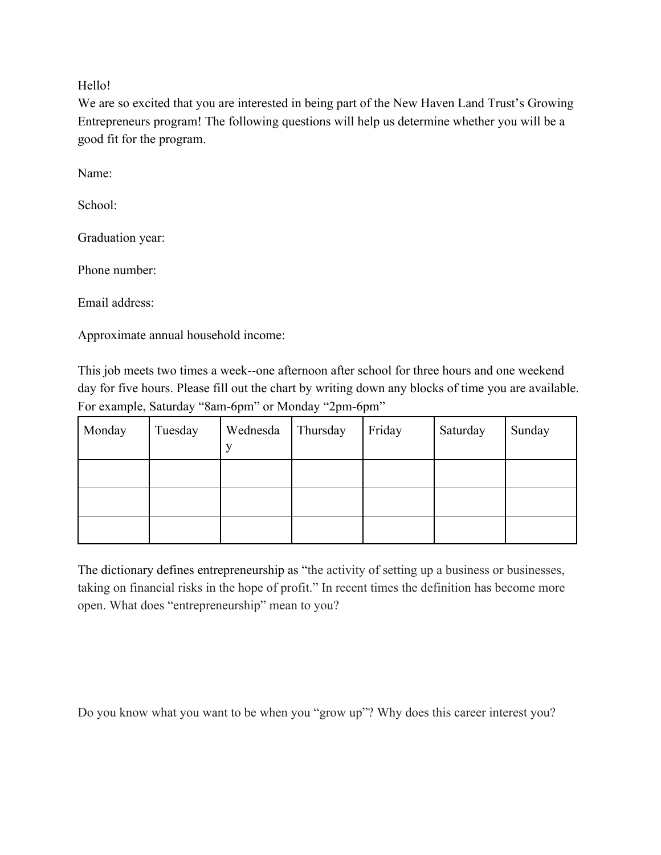Hello!

We are so excited that you are interested in being part of the New Haven Land Trust's Growing Entrepreneurs program! The following questions will help us determine whether you will be a good fit for the program.

Name:

School:

Graduation year:

Phone number:

Email address:

Approximate annual household income:

This job meets two times a week--one afternoon after school for three hours and one weekend day for five hours. Please fill out the chart by writing down any blocks of time you are available. For example, Saturday "8am-6pm" or Monday "2pm-6pm"

| Monday | Tuesday | Wednesda<br>X) | Thursday | Friday | Saturday | Sunday |
|--------|---------|----------------|----------|--------|----------|--------|
|        |         |                |          |        |          |        |
|        |         |                |          |        |          |        |
|        |         |                |          |        |          |        |

The dictionary defines entrepreneurship as "the activity of setting up a business or businesses, taking on financial risks in the hope of profit." In recent times the definition has become more open. What does "entrepreneurship" mean to you?

Do you know what you want to be when you "grow up"? Why does this career interest you?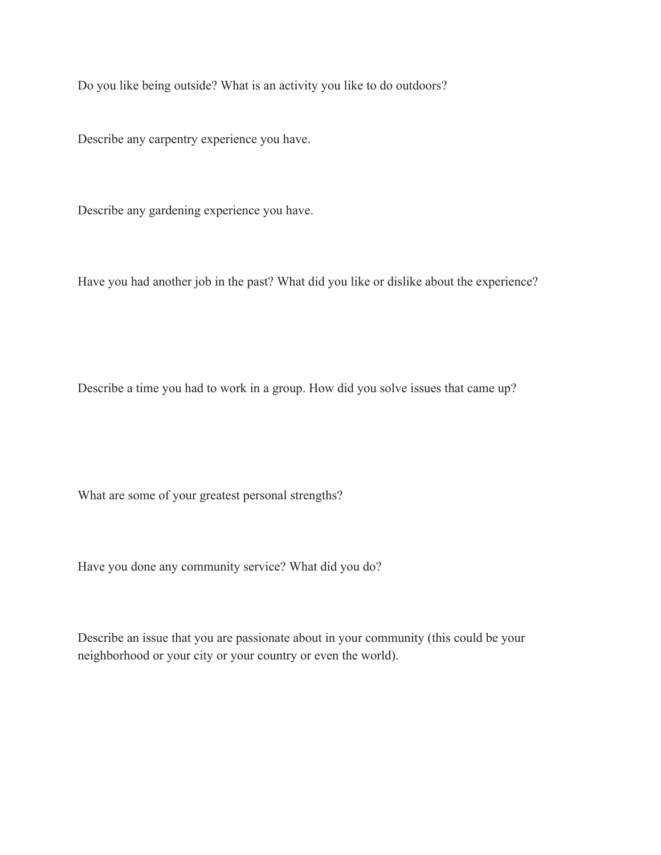Do you like being outside? What is an activity you like to do outdoors?

Describe any carpentry experience you have.

Describe any gardening experience you have.

Have you had another job in the past? What did you like or dislike about the experience?

Describe a time you had to work in a group. How did you solve issues that came up?

What are some of your greatest personal strengths?

Have you done any community service? What did you do?

Describe an issue that you are passionate about in your community (this could be your neighborhood or your city or your country or even the world).